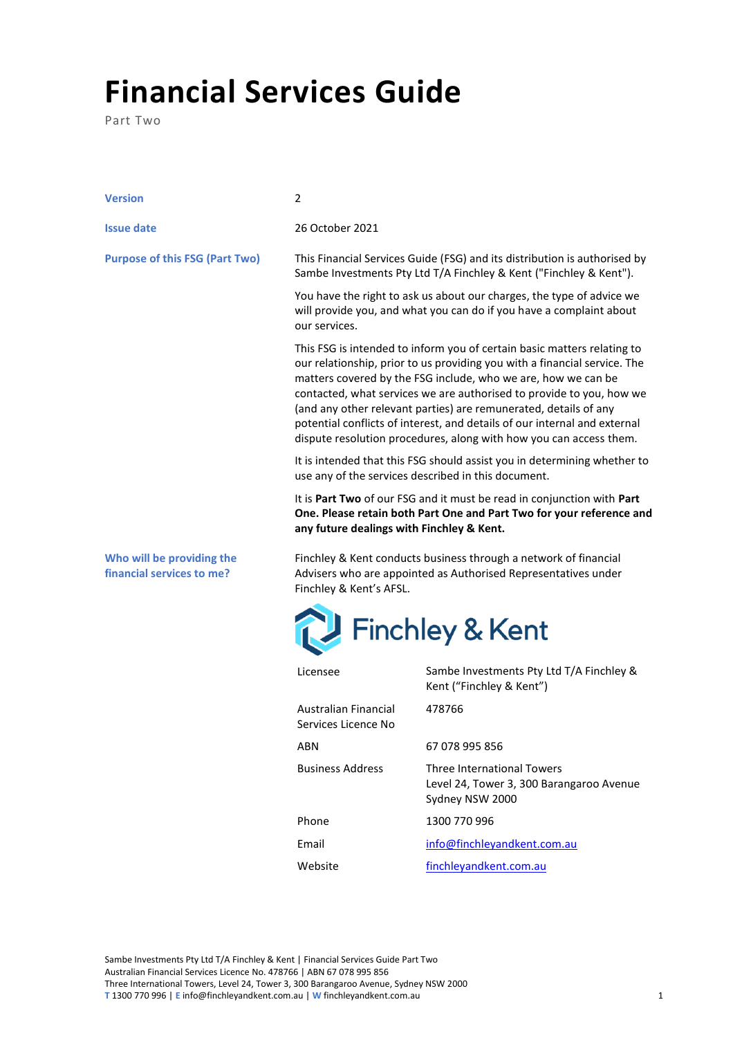## **Financial Services Guide**

Part Two

| <b>Version</b>                                         | 2                                                                                                                                                                                                                                                                                                                                                                                                                                                                                                                    |                                                                                                                                                 |
|--------------------------------------------------------|----------------------------------------------------------------------------------------------------------------------------------------------------------------------------------------------------------------------------------------------------------------------------------------------------------------------------------------------------------------------------------------------------------------------------------------------------------------------------------------------------------------------|-------------------------------------------------------------------------------------------------------------------------------------------------|
| <b>Issue date</b>                                      | 26 October 2021                                                                                                                                                                                                                                                                                                                                                                                                                                                                                                      |                                                                                                                                                 |
| <b>Purpose of this FSG (Part Two)</b>                  |                                                                                                                                                                                                                                                                                                                                                                                                                                                                                                                      | This Financial Services Guide (FSG) and its distribution is authorised by<br>Sambe Investments Pty Ltd T/A Finchley & Kent ("Finchley & Kent"). |
|                                                        | our services.                                                                                                                                                                                                                                                                                                                                                                                                                                                                                                        | You have the right to ask us about our charges, the type of advice we<br>will provide you, and what you can do if you have a complaint about    |
|                                                        | This FSG is intended to inform you of certain basic matters relating to<br>our relationship, prior to us providing you with a financial service. The<br>matters covered by the FSG include, who we are, how we can be<br>contacted, what services we are authorised to provide to you, how we<br>(and any other relevant parties) are remunerated, details of any<br>potential conflicts of interest, and details of our internal and external<br>dispute resolution procedures, along with how you can access them. |                                                                                                                                                 |
|                                                        | It is intended that this FSG should assist you in determining whether to<br>use any of the services described in this document.                                                                                                                                                                                                                                                                                                                                                                                      |                                                                                                                                                 |
|                                                        | any future dealings with Finchley & Kent.                                                                                                                                                                                                                                                                                                                                                                                                                                                                            | It is Part Two of our FSG and it must be read in conjunction with Part<br>One. Please retain both Part One and Part Two for your reference and  |
| Who will be providing the<br>financial services to me? | Finchley & Kent conducts business through a network of financial<br>Advisers who are appointed as Authorised Representatives under<br>Finchley & Kent's AFSL.                                                                                                                                                                                                                                                                                                                                                        |                                                                                                                                                 |
|                                                        |                                                                                                                                                                                                                                                                                                                                                                                                                                                                                                                      | <b>Finchley &amp; Kent</b>                                                                                                                      |
|                                                        | Licensee                                                                                                                                                                                                                                                                                                                                                                                                                                                                                                             | Sambe Investments Pty Ltd T/A Finchley &<br>Kent ("Finchley & Kent")                                                                            |
|                                                        | <b>Australian Financial</b><br>Services Licence No                                                                                                                                                                                                                                                                                                                                                                                                                                                                   | 478766                                                                                                                                          |
|                                                        | <b>ABN</b>                                                                                                                                                                                                                                                                                                                                                                                                                                                                                                           | 67 078 995 856                                                                                                                                  |
|                                                        | <b>Business Address</b>                                                                                                                                                                                                                                                                                                                                                                                                                                                                                              | <b>Three International Towers</b><br>Level 24, Tower 3, 300 Barangaroo Avenue                                                                   |

Sydney NSW 2000

Email [info@finchleyandkent.com.au](mailto:info@finchleyandkent.com.au)

Website [finchleyandkent.com.au](https://www.finchleyandkent.com.au/)

Phone 1300 770 996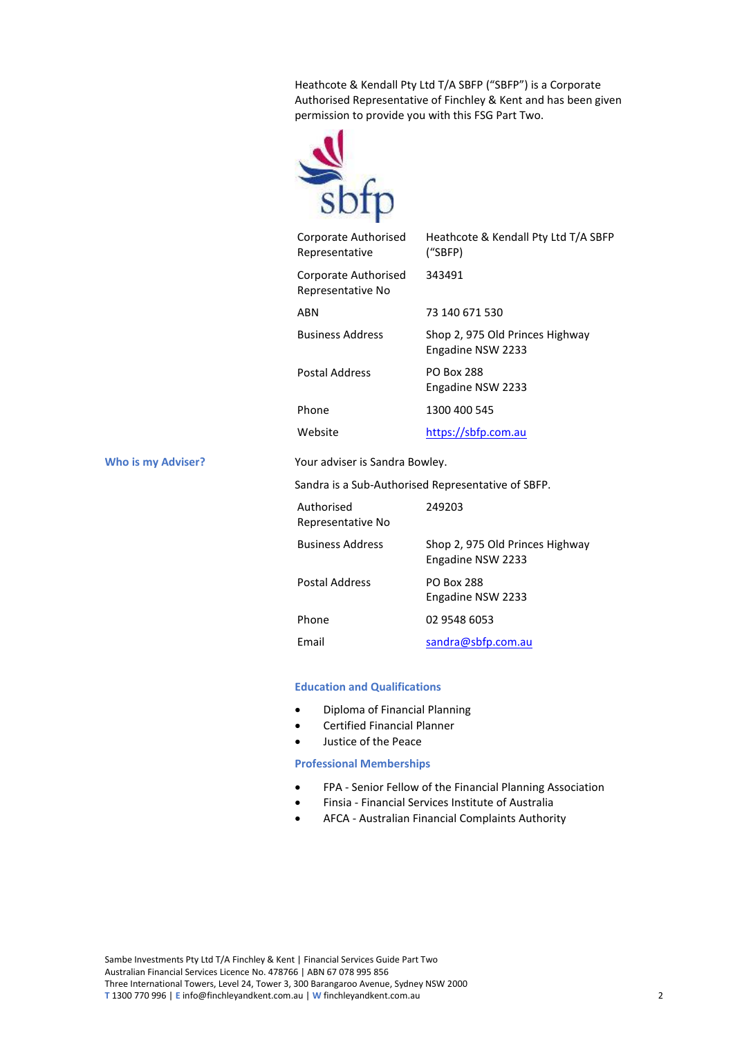Heathcote & Kendall Pty Ltd T/A SBFP ("SBFP") is a Corporate Authorised Representative of Finchley & Kent and has been given permission to provide you with this FSG Part Two.



| Corporate Authorised<br>Representative    | Heathcote & Kendall Pty Ltd T/A SBFP<br>("SBFP)      |
|-------------------------------------------|------------------------------------------------------|
| Corporate Authorised<br>Representative No | 343491                                               |
| <b>ARN</b>                                | 73 140 671 530                                       |
| <b>Business Address</b>                   | Shop 2, 975 Old Princes Highway<br>Engadine NSW 2233 |
| Postal Address                            | <b>PO Box 288</b><br>Engadine NSW 2233               |
| Phone                                     | 1300 400 545                                         |
| Website                                   | https://sbfp.com.au                                  |
| Your adviser is Sandra Bowley.            |                                                      |
|                                           | Sandra is a Sub-Authorised Representative of SBFP.   |
| Authorised<br>Representative No           | 249203                                               |
| <b>Business Address</b>                   | Shop 2, 975 Old Princes Highway<br>Engadine NSW 2233 |
|                                           |                                                      |

**Who is my Adviser?** The Sandra Bowley.

| Authorised<br>Representative No | 249203                                               |
|---------------------------------|------------------------------------------------------|
| <b>Business Address</b>         | Shop 2, 975 Old Princes Highway<br>Engadine NSW 2233 |
| <b>Postal Address</b>           | <b>PO Box 288</b><br>Engadine NSW 2233               |
| Phone                           | 02 9548 6053                                         |
| Email                           | sandra@sbfp.com.au                                   |

## **Education and Qualifications**

- Diploma of Financial Planning
- Certified Financial Planner
- Justice of the Peace

## **Professional Memberships**

- FPA Senior Fellow of the Financial Planning Association
- Finsia Financial Services Institute of Australia
- AFCA Australian Financial Complaints Authority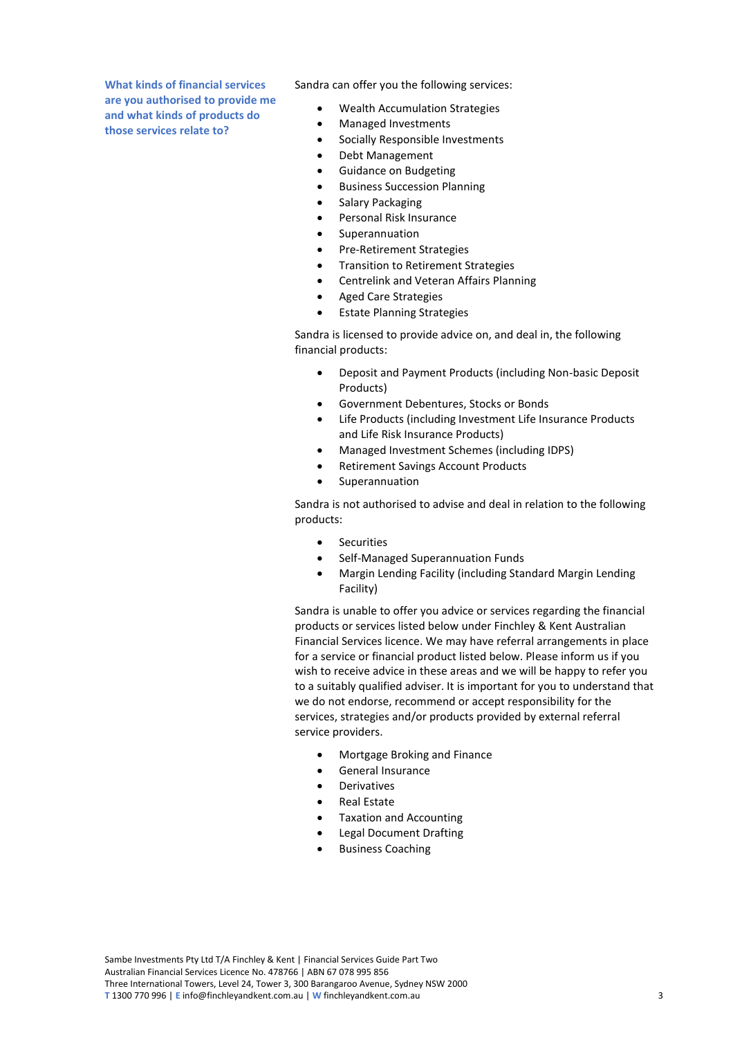**What kinds of financial services are you authorised to provide me and what kinds of products do those services relate to?**

Sandra can offer you the following services:

- Wealth Accumulation Strategies
- Managed Investments
- Socially Responsible Investments
- Debt Management
- Guidance on Budgeting
- Business Succession Planning
- Salary Packaging
- Personal Risk Insurance
- **Superannuation**
- Pre-Retirement Strategies
- Transition to Retirement Strategies
- Centrelink and Veteran Affairs Planning
- Aged Care Strategies
- **Estate Planning Strategies**

Sandra is licensed to provide advice on, and deal in, the following financial products:

- Deposit and Payment Products (including Non-basic Deposit Products)
- Government Debentures, Stocks or Bonds
- Life Products (including Investment Life Insurance Products and Life Risk Insurance Products)
- Managed Investment Schemes (including IDPS)
- Retirement Savings Account Products
- **Superannuation**

Sandra is not authorised to advise and deal in relation to the following products:

- Securities
- Self-Managed Superannuation Funds
- Margin Lending Facility (including Standard Margin Lending Facility)

Sandra is unable to offer you advice or services regarding the financial products or services listed below under Finchley & Kent Australian Financial Services licence. We may have referral arrangements in place for a service or financial product listed below. Please inform us if you wish to receive advice in these areas and we will be happy to refer you to a suitably qualified adviser. It is important for you to understand that we do not endorse, recommend or accept responsibility for the services, strategies and/or products provided by external referral service providers.

- Mortgage Broking and Finance
- General Insurance
- **Derivatives**
- Real Estate
- Taxation and Accounting
- Legal Document Drafting
- Business Coaching